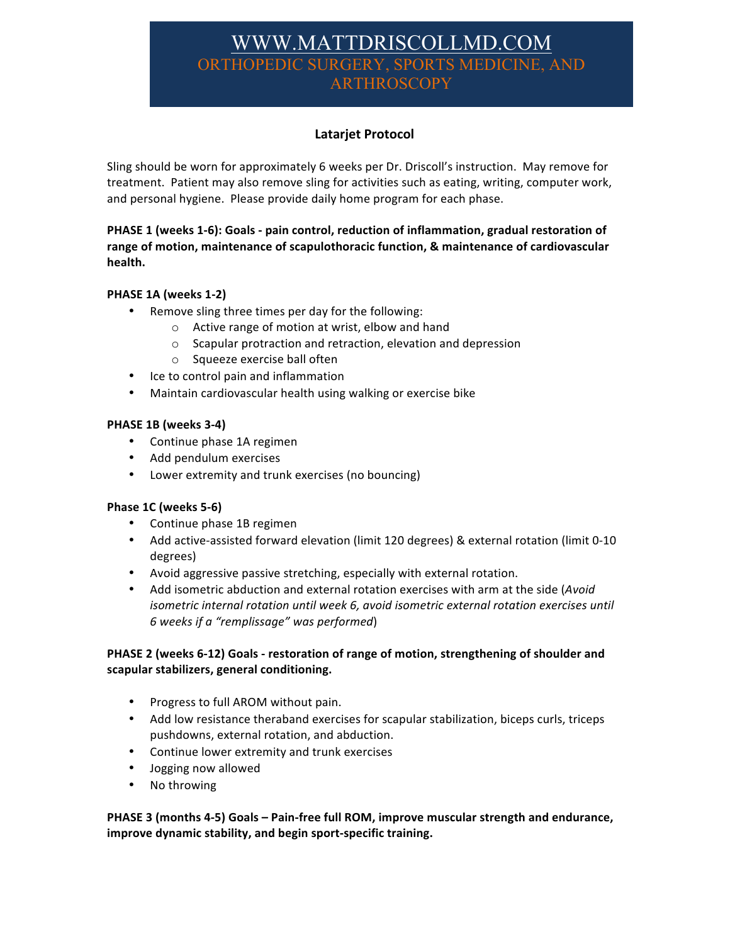# WWW.MATTDRISCOLLMD.CO ORTHOPEDIC SURGERY, SPORTS MEDICINE, **ARTHROSCOPY**

# **Latarjet Protocol**

Sling should be worn for approximately 6 weeks per Dr. Driscoll's instruction. May remove for treatment. Patient may also remove sling for activities such as eating, writing, computer work, and personal hygiene. Please provide daily home program for each phase.

## PHASE 1 (weeks 1-6): Goals - pain control, reduction of inflammation, gradual restoration of range of motion, maintenance of scapulothoracic function, & maintenance of cardiovascular health.

# **PHASE 1A (weeks 1-2)**

- Remove sling three times per day for the following:
	- $\circ$  Active range of motion at wrist, elbow and hand
	- $\circ$  Scapular protraction and retraction, elevation and depression
	- o Squeeze exercise ball often
- Ice to control pain and inflammation
- Maintain cardiovascular health using walking or exercise bike

#### **PHASE 1B (weeks 3-4)**

- Continue phase 1A regimen
- Add pendulum exercises
- Lower extremity and trunk exercises (no bouncing)

#### **Phase 1C (weeks 5-6)**

- Continue phase 1B regimen
- Add active-assisted forward elevation (limit 120 degrees) & external rotation (limit 0-10 degrees)
- Avoid aggressive passive stretching, especially with external rotation.
- Add isometric abduction and external rotation exercises with arm at the side (*Avoid isometric internal rotation until week 6, avoid isometric external rotation exercises until 6 weeks if a "remplissage" was performed*)

# **PHASE 2 (weeks 6-12) Goals - restoration of range of motion, strengthening of shoulder and scapular stabilizers, general conditioning.**

- Progress to full AROM without pain.
- Add low resistance theraband exercises for scapular stabilization, biceps curls, triceps pushdowns, external rotation, and abduction.
- Continue lower extremity and trunk exercises
- Jogging now allowed
- No throwing

**PHASE 3 (months 4-5)** Goals – Pain-free full ROM, improve muscular strength and endurance, **improve dynamic stability, and begin sport-specific training.**